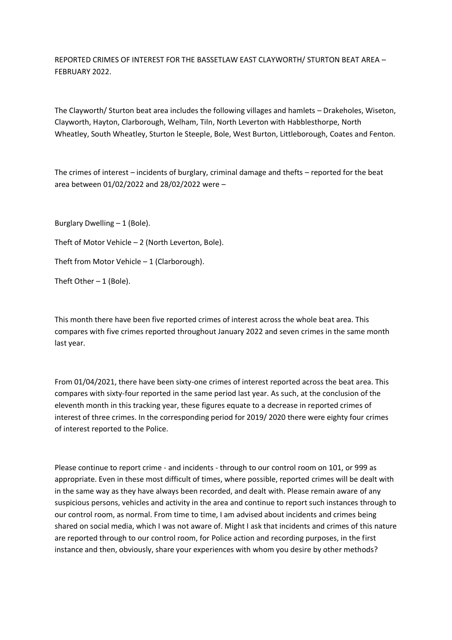REPORTED CRIMES OF INTEREST FOR THE BASSETLAW EAST CLAYWORTH/ STURTON BEAT AREA – FEBRUARY 2022.

The Clayworth/ Sturton beat area includes the following villages and hamlets – Drakeholes, Wiseton, Clayworth, Hayton, Clarborough, Welham, Tiln, North Leverton with Habblesthorpe, North Wheatley, South Wheatley, Sturton le Steeple, Bole, West Burton, Littleborough, Coates and Fenton.

The crimes of interest – incidents of burglary, criminal damage and thefts – reported for the beat area between 01/02/2022 and 28/02/2022 were –

Burglary Dwelling – 1 (Bole).

Theft of Motor Vehicle – 2 (North Leverton, Bole).

Theft from Motor Vehicle  $-1$  (Clarborough).

Theft Other  $-1$  (Bole).

This month there have been five reported crimes of interest across the whole beat area. This compares with five crimes reported throughout January 2022 and seven crimes in the same month last year.

From 01/04/2021, there have been sixty-one crimes of interest reported across the beat area. This compares with sixty-four reported in the same period last year. As such, at the conclusion of the eleventh month in this tracking year, these figures equate to a decrease in reported crimes of interest of three crimes. In the corresponding period for 2019/ 2020 there were eighty four crimes of interest reported to the Police.

Please continue to report crime - and incidents - through to our control room on 101, or 999 as appropriate. Even in these most difficult of times, where possible, reported crimes will be dealt with in the same way as they have always been recorded, and dealt with. Please remain aware of any suspicious persons, vehicles and activity in the area and continue to report such instances through to our control room, as normal. From time to time, I am advised about incidents and crimes being shared on social media, which I was not aware of. Might I ask that incidents and crimes of this nature are reported through to our control room, for Police action and recording purposes, in the first instance and then, obviously, share your experiences with whom you desire by other methods?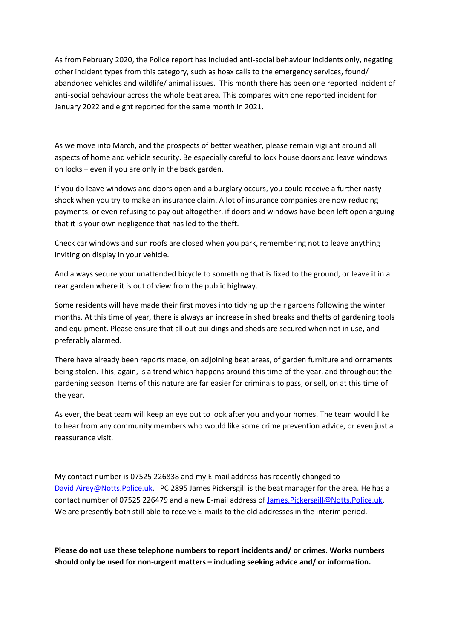As from February 2020, the Police report has included anti-social behaviour incidents only, negating other incident types from this category, such as hoax calls to the emergency services, found/ abandoned vehicles and wildlife/ animal issues. This month there has been one reported incident of anti-social behaviour across the whole beat area. This compares with one reported incident for January 2022 and eight reported for the same month in 2021.

As we move into March, and the prospects of better weather, please remain vigilant around all aspects of home and vehicle security. Be especially careful to lock house doors and leave windows on locks – even if you are only in the back garden.

If you do leave windows and doors open and a burglary occurs, you could receive a further nasty shock when you try to make an insurance claim. A lot of insurance companies are now reducing payments, or even refusing to pay out altogether, if doors and windows have been left open arguing that it is your own negligence that has led to the theft.

Check car windows and sun roofs are closed when you park, remembering not to leave anything inviting on display in your vehicle.

And always secure your unattended bicycle to something that is fixed to the ground, or leave it in a rear garden where it is out of view from the public highway.

Some residents will have made their first moves into tidying up their gardens following the winter months. At this time of year, there is always an increase in shed breaks and thefts of gardening tools and equipment. Please ensure that all out buildings and sheds are secured when not in use, and preferably alarmed.

There have already been reports made, on adjoining beat areas, of garden furniture and ornaments being stolen. This, again, is a trend which happens around this time of the year, and throughout the gardening season. Items of this nature are far easier for criminals to pass, or sell, on at this time of the year.

As ever, the beat team will keep an eye out to look after you and your homes. The team would like to hear from any community members who would like some crime prevention advice, or even just a reassurance visit.

My contact number is 07525 226838 and my E-mail address has recently changed to [David.Airey@Notts.Police.uk.](about:blank) PC 2895 James Pickersgill is the beat manager for the area. He has a contact number of 07525 226479 and a new E-mail address of [James.Pickersgill@Notts.Police.uk.](about:blank) We are presently both still able to receive E-mails to the old addresses in the interim period.

**Please do not use these telephone numbers to report incidents and/ or crimes. Works numbers should only be used for non-urgent matters – including seeking advice and/ or information.**